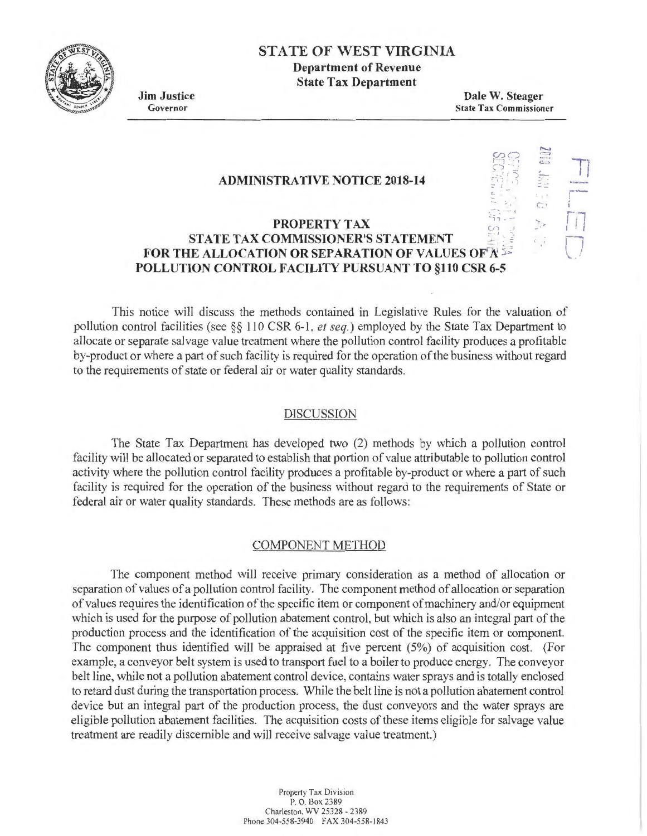

# STATE OF WEST VIRGINIA Department of Revenue State Tax Department

Jim Justice Governor

Dale W. Steager State Tax Commissioner

> $\mathfrak{B} \mathfrak{D}$  $\circ \cdot$  : ' ~ . *.)*

 $\mathbb T$ c. --  $\frac{2}{1}$  $\overline{\mathbb{C}}$ 

.. 11 \_.,\_ remerkening<br>-<br>-

r·....,

 $\overline{C}$ ....

#### ADMINISTRATIVE NOTICE 2018-14

### PROPERTY TAX STATE TAX COMMISSIONER'S STATEMENT FOR THE ALLOCATION OR SEPARATION OF VALUES OF A POLLUTION CONTROL FACILITY PURSUANT TO §110 CSR 6-5

This notice will discuss the methods contained in Legislative Rules for the valuation of pollution control facilities (see §§ 110 CSR 6-1, et seq.) employed by the State Tax Department to allocate or separate salvage value treatment where the pollution control facility produces a profitable by-product or where a part of such facility is required for the operation of the business without regard to the requirements of state or federal air or water quality standards.

#### DISCUSSION

The State Tax Department has developed two (2) methods by which a pollution control facility will be allocated or separated to establish that portion of value attributable to pollution control activity where the pollution control facility produces a profitable by-product or where a part of such facility is required for the operation of the business without regard to the requirements of State or federal air or water quality standards. These methods are as follows:

#### COMPONENT METHOD

The component method will receive primary consideration as a method of allocation or separation of values of a pollution control facility. The component method of allocation or separation of values requires the identification of the specific item or component of machinery and/or equipment which is used for the purpose of pollution abatement control, but which is also an integral part of the production process and the identification of the acquisition cost of the specific item or component. The component thus identified will be appraised at five percent (5%) of acquisition cost. (For example, a conveyor belt system is used to transport fuel to a boiler to produce energy. The conveyor belt line, while not a pollution abatement control device, contains water sprays and is totally enclosed to retard dust during the transportation process. While the belt line is not a pollution abatement control device but an integral part of the production process, the dust conveyors and the water sprays are eligible pollution abatement facilities. The acquisition costs of these items eligible for salvage value treatment are readily discernible and will receive salvage value treatment.)

> Propeny Tax Division P. O. Box 2389 Charleston, WV 25328 - 2389 Phone 304-558-3940 FAX 304-558-1843